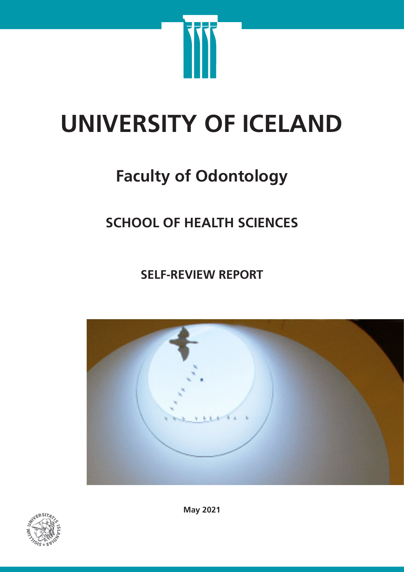

# **UNIVERSITY OF ICELAND**

# **Faculty of Odontology**

# **SCHOOL OF HEALTH SCIENCES**

**SELF-REVIEW REPORT**





**May 2021**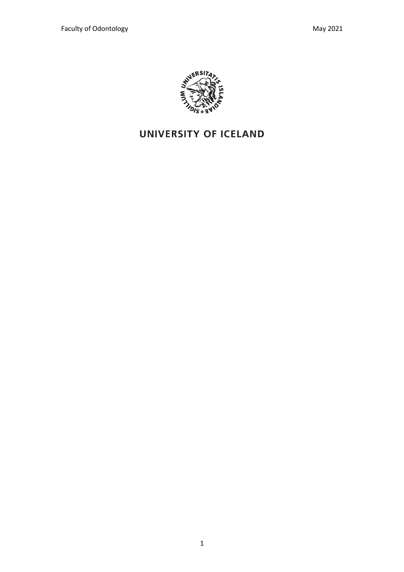

# UNIVERSITY OF ICELAND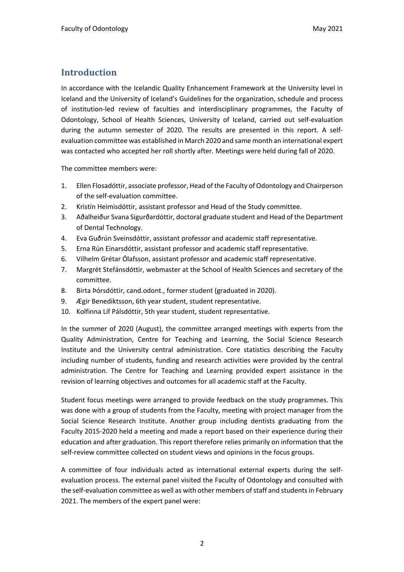### **Introduction**

In accordance with the Icelandic Quality Enhancement Framework at the University level in Iceland and the University of Iceland's Guidelines for the organization, schedule and process of institution-led review of faculties and interdisciplinary programmes, the Faculty of Odontology, School of Health Sciences, University of Iceland, carried out self-evaluation during the autumn semester of 2020. The results are presented in this report. A selfevaluation committee was established in March 2020 and same month an international expert was contacted who accepted her roll shortly after. Meetings were held during fall of 2020.

The committee members were:

- 1. Ellen Flosadóttir, associate professor, Head of the Faculty of Odontology and Chairperson of the self-evaluation committee.
- 2. Kristín Heimisdóttir, assistant professor and Head of the Study committee.
- 3. Aðalheiður Svana Sigurðardóttir, doctoral graduate student and Head of the Department of Dental Technology.
- 4. Eva Guðrún Sveinsdóttir, assistant professor and academic staff representative.
- 5. Erna Rún Einarsdóttir, assistant professor and academic staff representative.
- 6. Vilhelm Grétar Ólafsson, assistant professor and academic staff representative.
- 7. Margrét Stefánsdóttir, webmaster at the School of Health Sciences and secretary of the committee.
- 8. Birta Þórsdóttir, cand.odont., former student (graduated in 2020).
- 9. Ægir Benediktsson, 6th year student, student representative.
- 10. Kolfinna Líf Pálsdóttir, 5th year student, student representative.

In the summer of 2020 (August), the committee arranged meetings with experts from the Quality Administration, Centre for Teaching and Learning, the Social Science Research Institute and the University central administration. Core statistics describing the Faculty including number of students, funding and research activities were provided by the central administration. The Centre for Teaching and Learning provided expert assistance in the revision of learning objectives and outcomes for all academic staff at the Faculty.

Student focus meetings were arranged to provide feedback on the study programmes. This was done with a group of students from the Faculty, meeting with project manager from the Social Science Research Institute. Another group including dentists graduating from the Faculty 2015-2020 held a meeting and made a report based on their experience during their education and after graduation. This report therefore relies primarily on information that the self-review committee collected on student views and opinions in the focus groups.

A committee of four individuals acted as international external experts during the selfevaluation process. The external panel visited the Faculty of Odontology and consulted with the self-evaluation committee as well as with other members of staff and students in February 2021. The members of the expert panel were: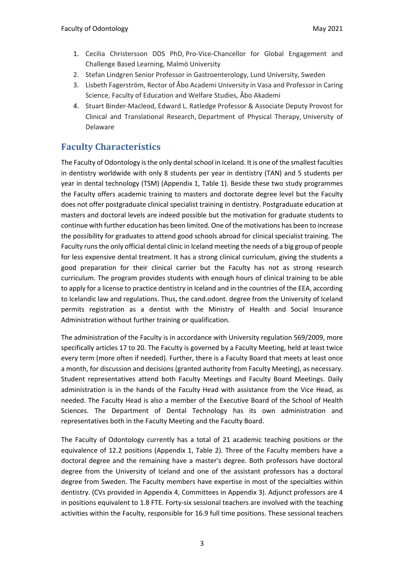- 1. Cecilia Christersson DDS PhD, Pro-Vice-Chancellor for Global Engagement and Challenge Based Learning, Malmö University
- 2. Stefan Lindgren Senior Professor in Gastroenterology, Lund University, Sweden
- 3. Lisbeth Fagerström, Rector of Åbo Academi University in Vasa and Professor in Caring Science, Faculty of Education and Welfare Studies, Åbo Akademi
- 4. Stuart Binder-Macleod, Edward L. Ratledge Professor & Associate Deputy Provost for Clinical and Translational Research, Department of Physical Therapy, University of Delaware

### **Faculty Characteristics**

The Faculty of Odontology is the only dental school in Iceland. It is one of the smallest faculties in dentistry worldwide with only 8 students per year in dentistry (TAN) and 5 students per year in dental technology (TSM) (Appendix 1, Table 1). Beside these two study programmes the Faculty offers academic training to masters and doctorate degree level but the Faculty does not offer postgraduate clinical specialist training in dentistry. Postgraduate education at masters and doctoral levels are indeed possible but the motivation for graduate students to continue with further education has been limited. One of the motivations has been to increase the possibility for graduates to attend good schools abroad for clinical specialist training. The Faculty runs the only official dental clinic in Iceland meeting the needs of a big group of people for less expensive dental treatment. It has a strong clinical curriculum, giving the students a good preparation for their clinical carrier but the Faculty has not as strong research curriculum. The program provides students with enough hours of clinical training to be able to apply for a license to practice dentistry in Iceland and in the countries of the EEA, according to Icelandic law and regulations. Thus, the cand.odont. degree from the University of Iceland permits registration as a dentist with the Ministry of Health and Social Insurance Administration without further training or qualification.

The administration of the Faculty is in accordance with University regulation 569/2009, more specifically articles 17 to 20. The Faculty is governed by a Faculty Meeting, held at least twice every term (more often if needed). Further, there is a Faculty Board that meets at least once a month, for discussion and decisions (granted authority from Faculty Meeting), as necessary. Student representatives attend both Faculty Meetings and Faculty Board Meetings. Daily administration is in the hands of the Faculty Head with assistance from the Vice Head, as needed. The Faculty Head is also a member of the Executive Board of the School of Health Sciences. The Department of Dental Technology has its own administration and representatives both in the Faculty Meeting and the Faculty Board.

The Faculty of Odontology currently has a total of 21 academic teaching positions or the equivalence of 12.2 positions (Appendix 1, Table 2). Three of the Faculty members have a doctoral degree and the remaining have a master's degree. Both professors have doctoral degree from the University of Iceland and one of the assistant professors has a doctoral degree from Sweden. The Faculty members have expertise in most of the specialties within dentistry. (CVs provided in Appendix 4, Committees in Appendix 3). Adjunct professors are 4 in positions equivalent to 1.8 FTE. Forty-six sessional teachers are involved with the teaching activities within the Faculty, responsible for 16.9 full time positions. These sessional teachers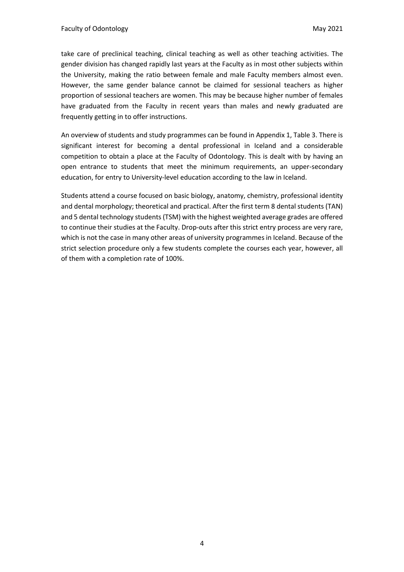take care of preclinical teaching, clinical teaching as well as other teaching activities. The gender division has changed rapidly last years at the Faculty as in most other subjects within the University, making the ratio between female and male Faculty members almost even. However, the same gender balance cannot be claimed for sessional teachers as higher proportion of sessional teachers are women. This may be because higher number of females have graduated from the Faculty in recent years than males and newly graduated are frequently getting in to offer instructions.

An overview of students and study programmes can be found in Appendix 1, Table 3. There is significant interest for becoming a dental professional in Iceland and a considerable competition to obtain a place at the Faculty of Odontology. This is dealt with by having an open entrance to students that meet the minimum requirements, an upper-secondary education, for entry to University-level education according to the law in Iceland.

Students attend a course focused on basic biology, anatomy, chemistry, professional identity and dental morphology; theoretical and practical. After the first term 8 dental students (TAN) and 5 dental technology students (TSM) with the highest weighted average grades are offered to continue their studies at the Faculty. Drop-outs after this strict entry process are very rare, which is not the case in many other areas of university programmes in Iceland. Because of the strict selection procedure only a few students complete the courses each year, however, all of them with a completion rate of 100%.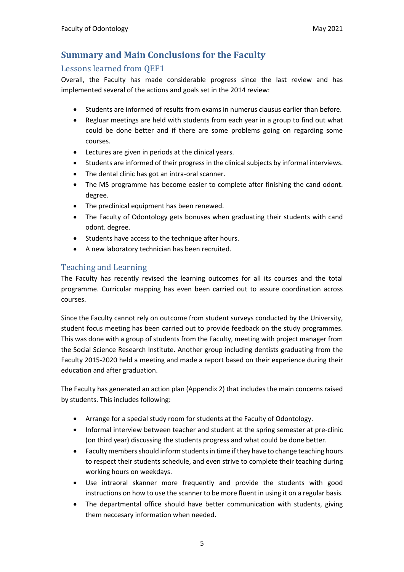## **Summary and Main Conclusions for the Faculty**

#### Lessons learned from OEF1

Overall, the Faculty has made considerable progress since the last review and has implemented several of the actions and goals set in the 2014 review:

- Students are informed of results from exams in numerus clausus earlier than before.
- Regluar meetings are held with students from each year in a group to find out what could be done better and if there are some problems going on regarding some courses.
- Lectures are given in periods at the clinical years.
- Students are informed of their progress in the clinical subjects by informal interviews.
- The dental clinic has got an intra-oral scanner.
- The MS programme has become easier to complete after finishing the cand odont. degree.
- The preclinical equipment has been renewed.
- The Faculty of Odontology gets bonuses when graduating their students with cand odont. degree.
- Students have access to the technique after hours.
- A new laboratory technician has been recruited.

#### Teaching and Learning

The Faculty has recently revised the learning outcomes for all its courses and the total programme. Curricular mapping has even been carried out to assure coordination across courses.

Since the Faculty cannot rely on outcome from student surveys conducted by the University, student focus meeting has been carried out to provide feedback on the study programmes. This was done with a group of students from the Faculty, meeting with project manager from the Social Science Research Institute. Another group including dentists graduating from the Faculty 2015-2020 held a meeting and made a report based on their experience during their education and after graduation.

The Faculty has generated an action plan (Appendix 2) that includes the main concerns raised by students. This includes following:

- Arrange for a special study room for students at the Faculty of Odontology.
- Informal interview between teacher and student at the spring semester at pre-clinic (on third year) discussing the students progress and what could be done better.
- Faculty members should inform students in time if they have to change teaching hours to respect their students schedule, and even strive to complete their teaching during working hours on weekdays.
- Use intraoral skanner more frequently and provide the students with good instructions on how to use the scanner to be more fluent in using it on a regular basis.
- The departmental office should have better communication with students, giving them neccesary information when needed.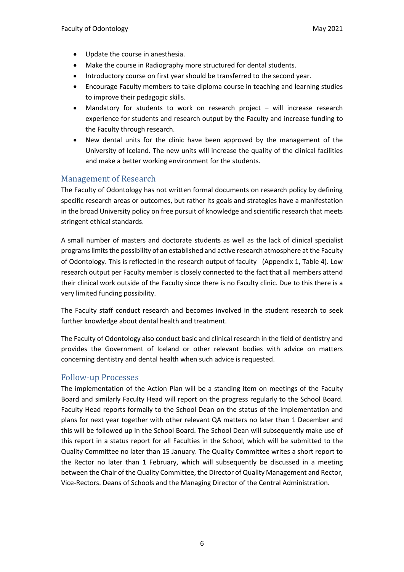- Update the course in anesthesia.
- Make the course in Radiography more structured for dental students.
- Introductory course on first year should be transferred to the second year.
- Encourage Faculty members to take diploma course in teaching and learning studies to improve their pedagogic skills.
- Mandatory for students to work on research project will increase research experience for students and research output by the Faculty and increase funding to the Faculty through research.
- New dental units for the clinic have been approved by the management of the University of Iceland. The new units will increase the quality of the clinical facilities and make a better working environment for the students.

#### Management of Research

The Faculty of Odontology has not written formal documents on research policy by defining specific research areas or outcomes, but rather its goals and strategies have a manifestation in the broad University policy on free pursuit of knowledge and scientific research that meets stringent ethical standards.

A small number of masters and doctorate students as well as the lack of clinical specialist programs limits the possibility of an established and active research atmosphere at the Faculty of Odontology. This is reflected in the research output of faculty (Appendix 1, Table 4). Low research output per Faculty member is closely connected to the fact that all members attend their clinical work outside of the Faculty since there is no Faculty clinic. Due to this there is a very limited funding possibility.

The Faculty staff conduct research and becomes involved in the student research to seek further knowledge about dental health and treatment.

The Faculty of Odontology also conduct basic and clinical research in the field of dentistry and provides the Government of Iceland or other relevant bodies with advice on matters concerning dentistry and dental health when such advice is requested.

#### Follow-up Processes

The implementation of the Action Plan will be a standing item on meetings of the Faculty Board and similarly Faculty Head will report on the progress regularly to the School Board. Faculty Head reports formally to the School Dean on the status of the implementation and plans for next year together with other relevant QA matters no later than 1 December and this will be followed up in the School Board. The School Dean will subsequently make use of this report in a status report for all Faculties in the School, which will be submitted to the Quality Committee no later than 15 January. The Quality Committee writes a short report to the Rector no later than 1 February, which will subsequently be discussed in a meeting between the Chair of the Quality Committee, the Director of Quality Management and Rector, Vice-Rectors. Deans of Schools and the Managing Director of the Central Administration.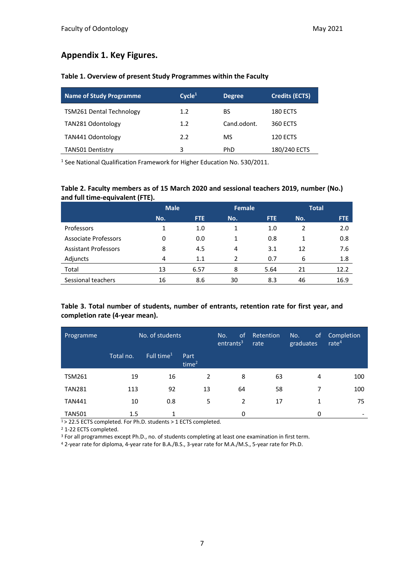#### **Appendix 1. Key Figures.**

#### **Table 1. Overview of present Study Programmes within the Faculty**

| <b>Name of Study Programme</b>  | Cycle <sup>1</sup> | <b>Degree</b> | <b>Credits (ECTS)</b> |
|---------------------------------|--------------------|---------------|-----------------------|
| <b>TSM261 Dental Technology</b> | 1.2                | BS            | 180 ECTS              |
| TAN281 Odontology               | 1.2                | Cand.odont.   | 360 ECTS              |
| TAN441 Odontology               | 2.2                | MS            | 120 ECTS              |
| TAN501 Dentistry                |                    | PhD.          | 180/240 ECTS          |

<sup>1</sup> See National Qualification Framework for Higher Education No. 530/2011.

#### **Table 2. Faculty members as of 15 March 2020 and sessional teachers 2019, number (No.) and full time-equivalent (FTE).**

|                             | <b>Male</b> |            | <b>Female</b> |      | <b>Total</b> |      |
|-----------------------------|-------------|------------|---------------|------|--------------|------|
|                             | No.         | <b>FTE</b> | No.           | FTE. | No.          | FTE  |
| Professors                  | 1           | 1.0        | 1             | 1.0  | 2            | 2.0  |
| Associate Professors        | 0           | 0.0        | 1             | 0.8  | 1            | 0.8  |
| <b>Assistant Professors</b> | 8           | 4.5        | 4             | 3.1  | 12           | 7.6  |
| Adjuncts                    | 4           | 1.1        | $\mathcal{P}$ | 0.7  | 6            | 1.8  |
| Total                       | 13          | 6.57       | 8             | 5.64 | 21           | 12.2 |
| Sessional teachers          | 16          | 8.6        | 30            | 8.3  | 46           | 16.9 |

#### **Table 3. Total number of students, number of entrants, retention rate for first year, and completion rate (4-year mean).**

| Programme     | No. of students |                        | 0f<br>No.<br>entrants <sup>3</sup> | Retention<br>rate | No.<br><sub>of</sub><br>graduates | Completion<br>rate $4$ |     |
|---------------|-----------------|------------------------|------------------------------------|-------------------|-----------------------------------|------------------------|-----|
|               | Total no.       | Full time <sup>1</sup> | Part<br>time $2$                   |                   |                                   |                        |     |
| <b>TSM261</b> | 19              | 16                     | 2                                  | 8                 | 63                                | 4                      | 100 |
| <b>TAN281</b> | 113             | 92                     | 13                                 | 64                | 58                                | 7                      | 100 |
| <b>TAN441</b> | 10              | 0.8                    | 5                                  | 2                 | 17                                | $\mathbf{1}$           | 75  |
| <b>TAN501</b> | 1.5             | 1                      |                                    | 0                 |                                   | 0                      |     |

1 > 22.5 ECTS completed. For Ph.D. students > 1 ECTS completed.

<sup>2</sup> 1-22 ECTS completed.

<sup>3</sup> For all programmes except Ph.D., no. of students completing at least one examination in first term.

<sup>4</sup> 2-year rate for diploma, 4-year rate for B.A./B.S., 3-year rate for M.A./M.S., 5-year rate for Ph.D.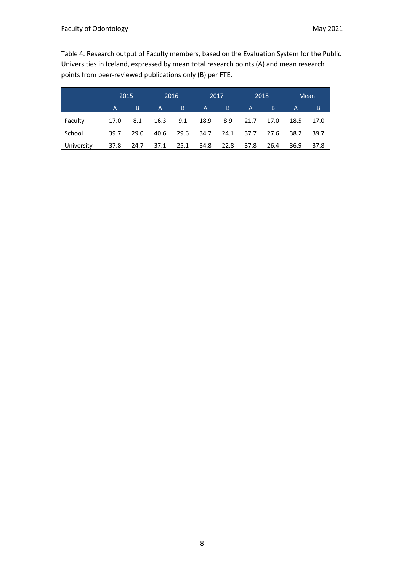Table 4. Research output of Faculty members, based on the Evaluation System for the Public Universities in Iceland, expressed by mean total research points (A) and mean research points from peer-reviewed publications only (B) per FTE.

|            |      | 2015 |              | 2016 |              | 2017 |              | 2018 |      | Mean |
|------------|------|------|--------------|------|--------------|------|--------------|------|------|------|
|            | A    | B.   | $\mathsf{A}$ | B.   | $\mathsf{A}$ | B.   | $\mathsf{A}$ | B    | A    | B    |
| Faculty    | 17.0 | 8.1  | 16.3         | 9.1  | 18.9         | 8.9  | 21.7         | 17.0 | 18.5 | 17.0 |
| School     | 39.7 | 29.0 | 40.6         | 29.6 | 34.7         | 24.1 | 37.7         | 27.6 | 38.2 | 39.7 |
| University | 37.8 | 24.7 | 37.1         | 25.1 | 34.8         | 22.8 | 37.8         | 26.4 | 36.9 | 37.8 |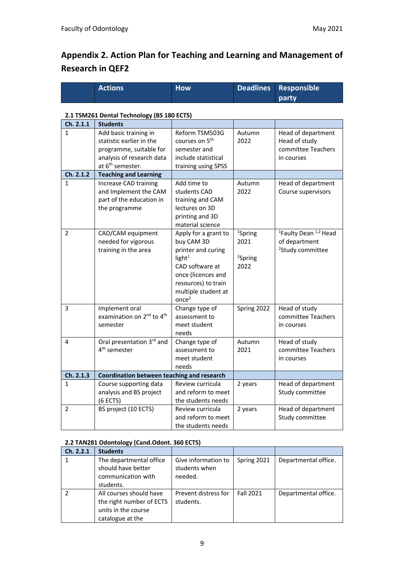# **Appendix 2. Action Plan for Teaching and Learning and Management of Research in QEF2**

| <b>Actions</b> | <b>How</b> | Deadlines Responsible |
|----------------|------------|-----------------------|
|                |            | party.                |

#### **2.1 TSM261 Dental Technology (BS 180 ECTS)**

| Ch. 2.1.1      | <b>Students</b>                                   |                            |                     |                                              |
|----------------|---------------------------------------------------|----------------------------|---------------------|----------------------------------------------|
| 1              | Add basic training in                             | Reform TSM503G             | Autumn              | Head of department                           |
|                | statistic earlier in the                          | courses on 5 <sup>th</sup> | 2022                | Head of study                                |
|                | programme, suitable for                           | semester and               |                     | committee Teachers                           |
|                | analysis of research data                         | include statistical        |                     | in courses                                   |
|                | at 6 <sup>th</sup> semester.                      | training using SPSS        |                     |                                              |
| Ch. 2.1.2      | <b>Teaching and Learning</b>                      |                            |                     |                                              |
| $\mathbf{1}$   | Increase CAD training                             | Add time to                | Autumn              | Head of department                           |
|                | and Implement the CAM                             | students CAD               | 2022                | Course supervisors                           |
|                | part of the education in                          | training and CAM           |                     |                                              |
|                | the programme                                     | lectures on 3D             |                     |                                              |
|                |                                                   | printing and 3D            |                     |                                              |
|                |                                                   | material science           |                     |                                              |
| $\overline{2}$ | CAD/CAM equipment                                 | Apply for a grant to       | <sup>1</sup> Spring | <sup>1</sup> Faulty Dean <sup>1,2</sup> Head |
|                | needed for vigorous                               | buy CAM 3D                 | 2021                | of department                                |
|                | training in the area                              | printer and curing         |                     | <sup>2</sup> Study committee                 |
|                |                                                   |                            |                     |                                              |
|                |                                                   | light <sup>1</sup>         | <sup>2</sup> Spring |                                              |
|                |                                                   | CAD software at            | 2022                |                                              |
|                |                                                   | once (licences and         |                     |                                              |
|                |                                                   | resources) to train        |                     |                                              |
|                |                                                   | multiple student at        |                     |                                              |
|                |                                                   | once <sup>2</sup>          |                     |                                              |
| 3              | Implement oral                                    | Change type of             | Spring 2022         | Head of study                                |
|                | examination on 2 <sup>nd</sup> to 4 <sup>th</sup> | assessment to              |                     | committee Teachers                           |
|                | semester                                          | meet student               |                     | in courses                                   |
|                |                                                   | needs                      |                     |                                              |
| 4              | Oral presentation 3rd and                         | Change type of             | Autumn              | Head of study                                |
|                | 4 <sup>th</sup> semester                          | assessment to              | 2021                | committee Teachers                           |
|                |                                                   | meet student               |                     | in courses                                   |
|                |                                                   | needs                      |                     |                                              |
| Ch. 2.1.3      | Coordination between teaching and research        |                            |                     |                                              |
| $\mathbf{1}$   | Course supporting data                            | Review curricula           | 2 years             | Head of department                           |
|                | analysis and BS project                           | and reform to meet         |                     | Study committee                              |
|                | (6 ECTS)                                          | the students needs         |                     |                                              |
| $\overline{2}$ | BS project (10 ECTS)                              | Review curricula           | 2 years             | Head of department                           |
|                |                                                   | and reform to meet         |                     | Study committee                              |
|                |                                                   | the students needs         |                     |                                              |

#### **2.2 TAN281 Odontology (Cand.Odont. 360 ECTS)**

| Ch. 2.2.1 | <b>Students</b>          |                      |                  |                      |
|-----------|--------------------------|----------------------|------------------|----------------------|
|           | The departmental office  | Give information to  | Spring 2021      | Departmental office. |
|           | should have better       | students when        |                  |                      |
|           | communication with       | needed.              |                  |                      |
|           | students.                |                      |                  |                      |
|           | All courses should have  | Prevent distress for | <b>Fall 2021</b> | Departmental office. |
|           | the right number of ECTS | students.            |                  |                      |
|           | units in the course      |                      |                  |                      |
|           | catalogue at the         |                      |                  |                      |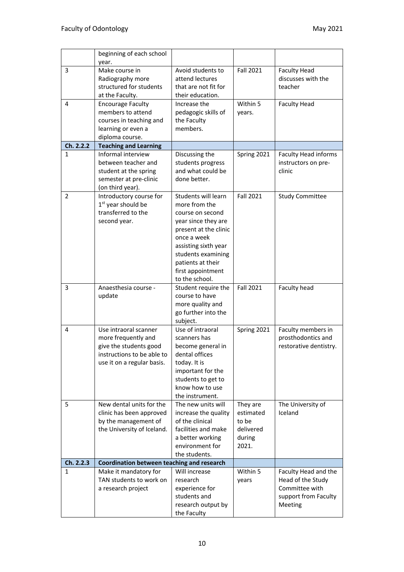|              | beginning of each school<br>year.           |                                        |                    |                                           |
|--------------|---------------------------------------------|----------------------------------------|--------------------|-------------------------------------------|
| 3            | Make course in                              | Avoid students to                      | <b>Fall 2021</b>   |                                           |
|              |                                             | attend lectures                        |                    | <b>Faculty Head</b><br>discusses with the |
|              | Radiography more<br>structured for students | that are not fit for                   |                    | teacher                                   |
|              |                                             |                                        |                    |                                           |
|              | at the Faculty.                             | their education.                       |                    |                                           |
| 4            | <b>Encourage Faculty</b>                    | Increase the                           | Within 5           | <b>Faculty Head</b>                       |
|              | members to attend                           | pedagogic skills of                    | years.             |                                           |
|              | courses in teaching and                     | the Faculty                            |                    |                                           |
|              | learning or even a                          | members.                               |                    |                                           |
|              | diploma course.                             |                                        |                    |                                           |
| Ch. 2.2.2    | <b>Teaching and Learning</b>                |                                        |                    |                                           |
| $\mathbf{1}$ | Informal interview                          | Discussing the                         | Spring 2021        | <b>Faculty Head informs</b>               |
|              | between teacher and                         | students progress                      |                    | instructors on pre-                       |
|              | student at the spring                       | and what could be                      |                    | clinic                                    |
|              | semester at pre-clinic                      | done better.                           |                    |                                           |
|              | (on third year).                            |                                        |                    |                                           |
| 2            | Introductory course for                     | Students will learn                    | <b>Fall 2021</b>   | <b>Study Committee</b>                    |
|              | 1 <sup>st</sup> year should be              | more from the                          |                    |                                           |
|              | transferred to the                          | course on second                       |                    |                                           |
|              | second year.                                | year since they are                    |                    |                                           |
|              |                                             | present at the clinic                  |                    |                                           |
|              |                                             | once a week                            |                    |                                           |
|              |                                             | assisting sixth year                   |                    |                                           |
|              |                                             | students examining                     |                    |                                           |
|              |                                             | patients at their                      |                    |                                           |
|              |                                             | first appointment                      |                    |                                           |
|              |                                             | to the school.                         |                    |                                           |
| 3            | Anaesthesia course -                        | Student require the                    | <b>Fall 2021</b>   | Faculty head                              |
|              | update                                      | course to have                         |                    |                                           |
|              |                                             | more quality and                       |                    |                                           |
|              |                                             | go further into the                    |                    |                                           |
|              |                                             | subject.                               |                    |                                           |
| 4            | Use intraoral scanner                       | Use of intraoral                       | Spring 2021        | Faculty members in                        |
|              | more frequently and                         | scanners has                           |                    | prosthodontics and                        |
|              | give the students good                      | become general in                      |                    | restorative dentistry.                    |
|              | instructions to be able to                  | dental offices                         |                    |                                           |
|              | use it on a regular basis.                  | today. It is                           |                    |                                           |
|              |                                             | important for the                      |                    |                                           |
|              |                                             | students to get to                     |                    |                                           |
|              |                                             | know how to use                        |                    |                                           |
|              |                                             | the instrument.                        |                    |                                           |
| 5.           | New dental units for the                    | The new units will                     | They are           | The University of                         |
|              | clinic has been approved                    | increase the quality                   | estimated          | Iceland                                   |
|              | by the management of                        | of the clinical<br>facilities and make | to be<br>delivered |                                           |
|              | the University of Iceland.                  |                                        |                    |                                           |
|              |                                             | a better working<br>environment for    | during<br>2021.    |                                           |
|              |                                             | the students.                          |                    |                                           |
| Ch. 2.2.3    | Coordination between teaching and research  |                                        |                    |                                           |
| 1            | Make it mandatory for                       | Will increase                          | Within 5           | Faculty Head and the                      |
|              | TAN students to work on                     | research                               | years              | Head of the Study                         |
|              | a research project                          | experience for                         |                    | Committee with                            |
|              |                                             | students and                           |                    | support from Faculty                      |
|              |                                             | research output by                     |                    | Meeting                                   |
|              |                                             | the Faculty                            |                    |                                           |
|              |                                             |                                        |                    |                                           |